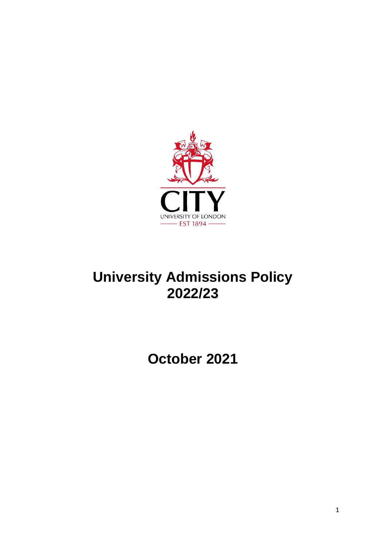

# **University Admissions Policy 2022/23**

**October 2021**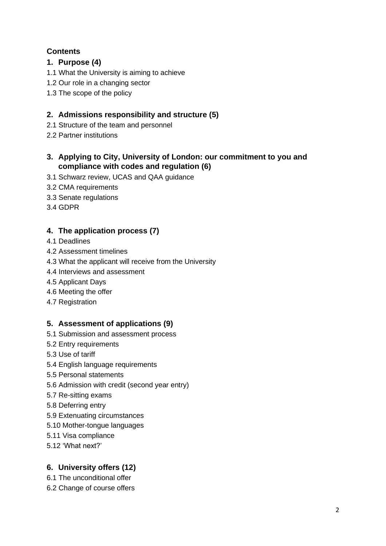# **Contents**

# **1. Purpose (4)**

- 1.1 What the University is aiming to achieve
- 1.2 Our role in a changing sector
- 1.3 The scope of the policy

# **2. Admissions responsibility and structure (5)**

- 2.1 Structure of the team and personnel
- 2.2 Partner institutions

# **3. Applying to City, University of London: our commitment to you and compliance with codes and regulation (6)**

- 3.1 Schwarz review, UCAS and QAA guidance
- 3.2 CMA requirements
- 3.3 Senate regulations
- 3.4 GDPR

# **4. The application process (7)**

- 4.1 Deadlines
- 4.2 Assessment timelines
- 4.3 What the applicant will receive from the University
- 4.4 Interviews and assessment
- 4.5 Applicant Days
- 4.6 Meeting the offer
- 4.7 Registration

# **5. Assessment of applications (9)**

- 5.1 Submission and assessment process
- 5.2 Entry requirements
- 5.3 Use of tariff
- 5.4 English language requirements
- 5.5 Personal statements
- 5.6 Admission with credit (second year entry)
- 5.7 Re-sitting exams
- 5.8 Deferring entry
- 5.9 Extenuating circumstances
- 5.10 Mother-tongue languages
- 5.11 Visa compliance
- 5.12 'What next?'

# **6. University offers (12)**

- 6.1 The unconditional offer
- 6.2 Change of course offers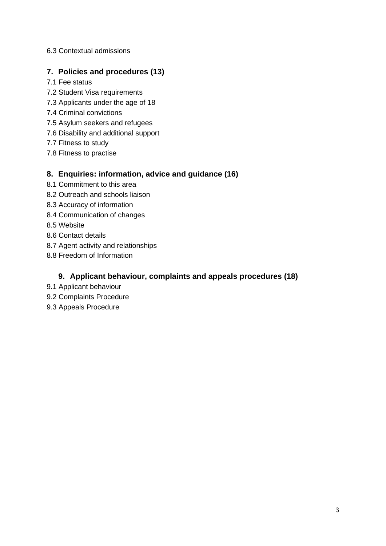#### 6.3 Contextual admissions

## **7. Policies and procedures (13)**

- 7.1 Fee status
- 7.2 Student Visa requirements
- 7.3 Applicants under the age of 18
- 7.4 Criminal convictions
- 7.5 Asylum seekers and refugees
- 7.6 Disability and additional support
- 7.7 Fitness to study
- 7.8 Fitness to practise

#### **8. Enquiries: information, advice and guidance (16)**

- 8.1 Commitment to this area
- 8.2 Outreach and schools liaison
- 8.3 Accuracy of information
- 8.4 Communication of changes
- 8.5 Website
- 8.6 Contact details
- 8.7 Agent activity and relationships
- 8.8 Freedom of Information

# **9. Applicant behaviour, complaints and appeals procedures (18)**

- 9.1 Applicant behaviour
- 9.2 Complaints Procedure
- 9.3 Appeals Procedure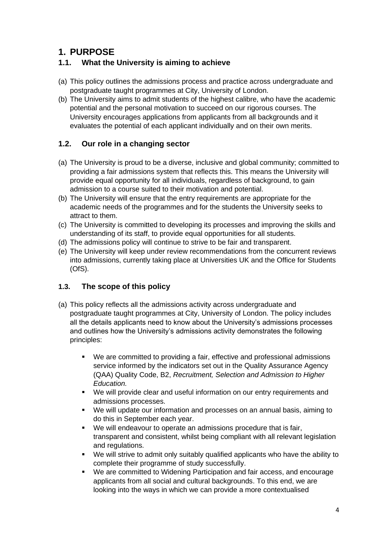# **1. PURPOSE**

# **1.1. What the University is aiming to achieve**

- (a) This policy outlines the admissions process and practice across undergraduate and postgraduate taught programmes at City, University of London.
- (b) The University aims to admit students of the highest calibre, who have the academic potential and the personal motivation to succeed on our rigorous courses. The University encourages applications from applicants from all backgrounds and it evaluates the potential of each applicant individually and on their own merits.

# **1.2. Our role in a changing sector**

- (a) The University is proud to be a diverse, inclusive and global community; committed to providing a fair admissions system that reflects this. This means the University will provide equal opportunity for all individuals, regardless of background, to gain admission to a course suited to their motivation and potential.
- (b) The University will ensure that the entry requirements are appropriate for the academic needs of the programmes and for the students the University seeks to attract to them.
- (c) The University is committed to developing its processes and improving the skills and understanding of its staff, to provide equal opportunities for all students.
- (d) The admissions policy will continue to strive to be fair and transparent.
- (e) The University will keep under review recommendations from the concurrent reviews into admissions, currently taking place at Universities UK and the Office for Students (OfS).

# **1.3. The scope of this policy**

- (a) This policy reflects all the admissions activity across undergraduate and postgraduate taught programmes at City, University of London. The policy includes all the details applicants need to know about the University's admissions processes and outlines how the University's admissions activity demonstrates the following principles:
	- We are committed to providing a fair, effective and professional admissions service informed by the indicators set out in the Quality Assurance Agency (QAA) Quality Code, B2, *Recruitment, Selection and Admission to Higher Education.*
	- We will provide clear and useful information on our entry requirements and admissions processes.
	- We will update our information and processes on an annual basis, aiming to do this in September each year.
	- We will endeavour to operate an admissions procedure that is fair, transparent and consistent, whilst being compliant with all relevant legislation and regulations.
	- We will strive to admit only suitably qualified applicants who have the ability to complete their programme of study successfully.
	- We are committed to Widening Participation and fair access, and encourage applicants from all social and cultural backgrounds. To this end, we are looking into the ways in which we can provide a more contextualised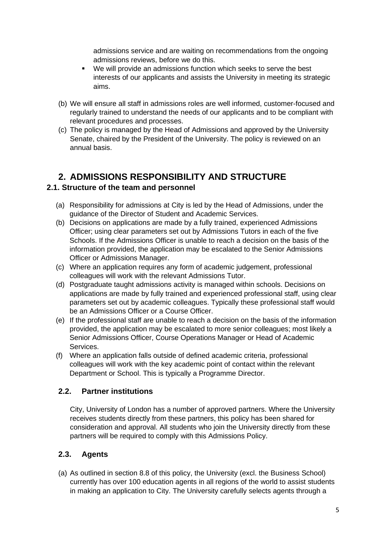admissions service and are waiting on recommendations from the ongoing admissions reviews, before we do this.

- We will provide an admissions function which seeks to serve the best interests of our applicants and assists the University in meeting its strategic aims.
- (b) We will ensure all staff in admissions roles are well informed, customer-focused and regularly trained to understand the needs of our applicants and to be compliant with relevant procedures and processes.
- (c) The policy is managed by the Head of Admissions and approved by the University Senate, chaired by the President of the University. The policy is reviewed on an annual basis.

# **2. ADMISSIONS RESPONSIBILITY AND STRUCTURE**

# **2.1. Structure of the team and personnel**

- (a) Responsibility for admissions at City is led by the Head of Admissions, under the guidance of the Director of Student and Academic Services.
- (b) Decisions on applications are made by a fully trained, experienced Admissions Officer; using clear parameters set out by Admissions Tutors in each of the five Schools. If the Admissions Officer is unable to reach a decision on the basis of the information provided, the application may be escalated to the Senior Admissions Officer or Admissions Manager.
- (c) Where an application requires any form of academic judgement, professional colleagues will work with the relevant Admissions Tutor.
- (d) Postgraduate taught admissions activity is managed within schools. Decisions on applications are made by fully trained and experienced professional staff, using clear parameters set out by academic colleagues. Typically these professional staff would be an Admissions Officer or a Course Officer.
- (e) If the professional staff are unable to reach a decision on the basis of the information provided, the application may be escalated to more senior colleagues; most likely a Senior Admissions Officer, Course Operations Manager or Head of Academic Services.
- (f) Where an application falls outside of defined academic criteria, professional colleagues will work with the key academic point of contact within the relevant Department or School. This is typically a Programme Director.

# **2.2. Partner institutions**

City, University of London has a number of approved partners. Where the University receives students directly from these partners, this policy has been shared for consideration and approval. All students who join the University directly from these partners will be required to comply with this Admissions Policy.

# **2.3. Agents**

(a) As outlined in section 8.8 of this policy, the University (excl. the Business School) currently has over 100 education agents in all regions of the world to assist students in making an application to City. The University carefully selects agents through a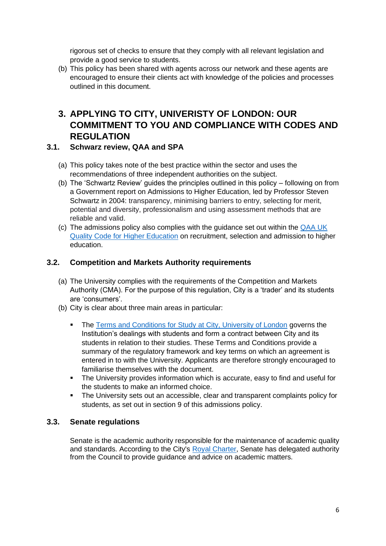rigorous set of checks to ensure that they comply with all relevant legislation and provide a good service to students.

(b) This policy has been shared with agents across our network and these agents are encouraged to ensure their clients act with knowledge of the policies and processes outlined in this document.

# **3. APPLYING TO CITY, UNIVERISTY OF LONDON: OUR COMMITMENT TO YOU AND COMPLIANCE WITH CODES AND REGULATION**

#### **3.1. Schwarz review, QAA and SPA**

- (a) This policy takes note of the best practice within the sector and uses the recommendations of three independent authorities on the subject.
- (b) The 'Schwartz Review' guides the principles outlined in this policy following on from a Government report on Admissions to Higher Education, led by Professor Steven Schwartz in 2004: transparency, minimising barriers to entry, selecting for merit, potential and diversity, professionalism and using assessment methods that are reliable and valid.
- (c) The admissions policy also complies with the guidance set out within the [QAA UK](https://www.qaa.ac.uk/quality-code)  [Quality Code for Higher Education](https://www.qaa.ac.uk/quality-code) on recruitment, selection and admission to higher education.

#### **3.2. Competition and Markets Authority requirements**

- (a) The University complies with the requirements of the Competition and Markets Authority (CMA). For the purpose of this regulation, City is a 'trader' and its students are 'consumers'.
- (b) City is clear about three main areas in particular:
	- **The [Terms and Conditions for Study at City, University of London](https://www.city.ac.uk/about/governance/legal/terms) governs the** Institution's dealings with students and form a contract between City and its students in relation to their studies. These Terms and Conditions provide a summary of the regulatory framework and key terms on which an agreement is entered in to with the University. Applicants are therefore strongly encouraged to familiarise themselves with the document.
	- The University provides information which is accurate, easy to find and useful for the students to make an informed choice.
	- The University sets out an accessible, clear and transparent complaints policy for students, as set out in section 9 of this admissions policy.

#### **3.3. Senate regulations**

Senate is the academic authority responsible for the maintenance of academic quality and standards. According to the City's [Royal Charter,](https://www.city.ac.uk/__data/assets/pdf_file/0005/74867/CharterandStatute.pdf) Senate has delegated authority from the Council to provide guidance and advice on academic matters.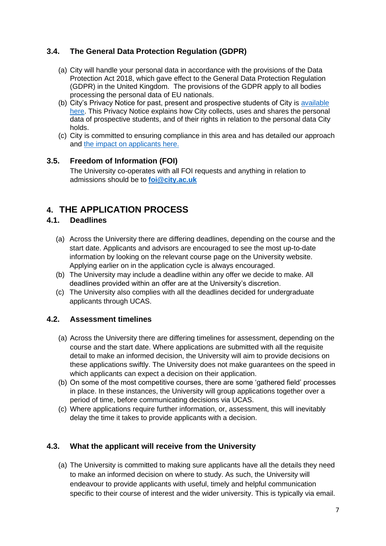# **3.4. The General Data Protection Regulation (GDPR)**

- (a) City will handle your personal data in accordance with the provisions of the Data Protection Act 2018, which gave effect to the General Data Protection Regulation (GDPR) in the United Kingdom. The provisions of the GDPR apply to all bodies processing the personal data of EU nationals.
- (b) City's Privacy Notice for past, present and prospective students of City is [available](https://www.city.ac.uk/about/city-information/legal/data-protection)  [here.](https://www.city.ac.uk/about/city-information/legal/data-protection) This Privacy Notice explains how City collects, uses and shares the personal data of prospective students, and of their rights in relation to the personal data City holds.
- (c) City is committed to ensuring compliance in this area and has detailed our approach and [the impact on applicants here.](https://www.city.ac.uk/library/about/policies/personal-data-and-online-resources)

#### **3.5. Freedom of Information (FOI)**

The University co-operates with all FOI requests and anything in relation to admissions should be to **[foi@city.ac.uk](mailto:foi@city.ac.uk)**

# **4. THE APPLICATION PROCESS**

# **4.1. Deadlines**

- (a) Across the University there are differing deadlines, depending on the course and the start date. Applicants and advisors are encouraged to see the most up-to-date information by looking on the relevant course page on the University website. Applying earlier on in the application cycle is always encouraged.
- (b) The University may include a deadline within any offer we decide to make. All deadlines provided within an offer are at the University's discretion.
- (c) The University also complies with all the deadlines decided for undergraduate applicants through UCAS.

#### **4.2. Assessment timelines**

- (a) Across the University there are differing timelines for assessment, depending on the course and the start date. Where applications are submitted with all the requisite detail to make an informed decision, the University will aim to provide decisions on these applications swiftly. The University does not make guarantees on the speed in which applicants can expect a decision on their application.
- (b) On some of the most competitive courses, there are some 'gathered field' processes in place. In these instances, the University will group applications together over a period of time, before communicating decisions via UCAS.
- (c) Where applications require further information, or, assessment, this will inevitably delay the time it takes to provide applicants with a decision.

# **4.3. What the applicant will receive from the University**

(a) The University is committed to making sure applicants have all the details they need to make an informed decision on where to study. As such, the University will endeavour to provide applicants with useful, timely and helpful communication specific to their course of interest and the wider university. This is typically via email.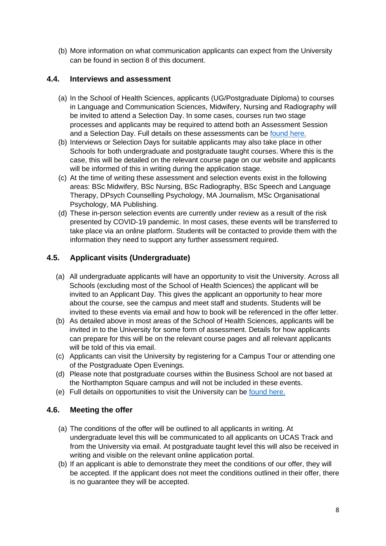(b) More information on what communication applicants can expect from the University can be found in section 8 of this document.

## **4.4. Interviews and assessment**

- (a) In the School of Health Sciences, applicants (UG/Postgraduate Diploma) to courses in Language and Communication Sciences, Midwifery, Nursing and Radiography will be invited to attend a Selection Day. In some cases, courses run two stage processes and applicants may be required to attend both an Assessment Session and a Selection Day. Full details on these assessments can be [found here.](https://www.city.ac.uk/health/selection-day)
- (b) Interviews or Selection Days for suitable applicants may also take place in other Schools for both undergraduate and postgraduate taught courses. Where this is the case, this will be detailed on the relevant course page on our website and applicants will be informed of this in writing during the application stage.
- (c) At the time of writing these assessment and selection events exist in the following areas: BSc Midwifery, BSc Nursing, BSc Radiography, BSc Speech and Language Therapy, DPsych Counselling Psychology, MA Journalism, MSc Organisational Psychology, MA Publishing.
- (d) These in-person selection events are currently under review as a result of the risk presented by COVID-19 pandemic. In most cases, these events will be transferred to take place via an online platform. Students will be contacted to provide them with the information they need to support any further assessment required.

# **4.5. Applicant visits (Undergraduate)**

- (a) All undergraduate applicants will have an opportunity to visit the University. Across all Schools (excluding most of the School of Health Sciences) the applicant will be invited to an Applicant Day. This gives the applicant an opportunity to hear more about the course, see the campus and meet staff and students. Students will be invited to these events via email and how to book will be referenced in the offer letter.
- (b) As detailed above in most areas of the School of Health Sciences, applicants will be invited in to the University for some form of assessment. Details for how applicants can prepare for this will be on the relevant course pages and all relevant applicants will be told of this via email.
- (c) Applicants can visit the University by registering for a Campus Tour or attending one of the Postgraduate Open Evenings.
- (d) Please note that postgraduate courses within the Business School are not based at the Northampton Square campus and will not be included in these events.
- (e) Full details on opportunities to visit the University can be [found here.](http://www.city.ac.uk/visit-us)

#### **4.6. Meeting the offer**

- (a) The conditions of the offer will be outlined to all applicants in writing. At undergraduate level this will be communicated to all applicants on UCAS Track and from the University via email. At postgraduate taught level this will also be received in writing and visible on the relevant online application portal.
- (b) If an applicant is able to demonstrate they meet the conditions of our offer, they will be accepted. If the applicant does not meet the conditions outlined in their offer, there is no guarantee they will be accepted.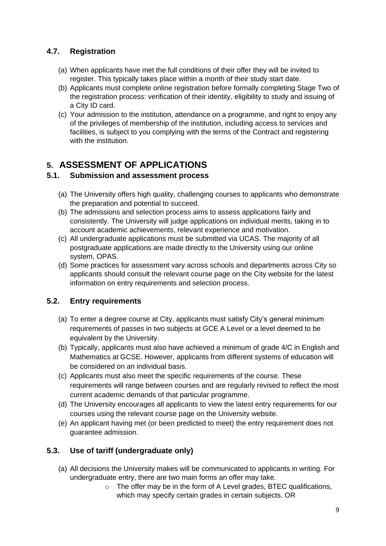# **4.7. Registration**

- (a) When applicants have met the full conditions of their offer they will be invited to register. This typically takes place within a month of their study start date.
- (b) Applicants must complete online registration before formally completing Stage Two of the registration process: verification of their identity, eligibility to study and issuing of a City ID card.
- (c) Your admission to the institution, attendance on a programme, and right to enjoy any of the privileges of membership of the institution, including access to services and facilities, is subject to you complying with the terms of the Contract and registering with the institution.

# **5. ASSESSMENT OF APPLICATIONS**

#### **5.1. Submission and assessment process**

- (a) The University offers high quality, challenging courses to applicants who demonstrate the preparation and potential to succeed.
- (b) The admissions and selection process aims to assess applications fairly and consistently. The University will judge applications on individual merits, taking in to account academic achievements, relevant experience and motivation.
- (c) All undergraduate applications must be submitted via UCAS. The majority of all postgraduate applications are made directly to the University using our online system, OPAS.
- (d) Some practices for assessment vary across schools and departments across City so applicants should consult the relevant course page on the City website for the latest information on entry requirements and selection process.

# **5.2. Entry requirements**

- (a) To enter a degree course at City, applicants must satisfy City's general minimum requirements of passes in two subjects at GCE A Level or a level deemed to be equivalent by the University.
- (b) Typically, applicants must also have achieved a minimum of grade 4/C in English and Mathematics at GCSE. However, applicants from different systems of education will be considered on an individual basis.
- (c) Applicants must also meet the specific requirements of the course. These requirements will range between courses and are regularly revised to reflect the most current academic demands of that particular programme.
- (d) The University encourages all applicants to view the latest entry requirements for our courses using the relevant course page on the University website.
- (e) An applicant having met (or been predicted to meet) the entry requirement does not guarantee admission.

# **5.3. Use of tariff (undergraduate only)**

- (a) All decisions the University makes will be communicated to applicants in writing. For undergraduate entry, there are two main forms an offer may take.
	- $\circ$  The offer may be in the form of A Level grades, BTEC qualifications, which may specify certain grades in certain subjects. OR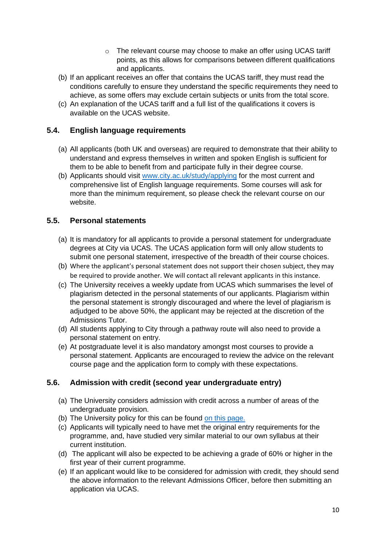- $\circ$  The relevant course may choose to make an offer using UCAS tariff points, as this allows for comparisons between different qualifications and applicants.
- (b) If an applicant receives an offer that contains the UCAS tariff, they must read the conditions carefully to ensure they understand the specific requirements they need to achieve, as some offers may exclude certain subjects or units from the total score.
- (c) An explanation of the UCAS tariff and a full list of the qualifications it covers is available on the UCAS website.

# **5.4. English language requirements**

- (a) All applicants (both UK and overseas) are required to demonstrate that their ability to understand and express themselves in written and spoken English is sufficient for them to be able to benefit from and participate fully in their degree course.
- (b) Applicants should visit [www.city.ac.uk/study/applying](http://www.city.ac.uk/study/applying) for the most current and comprehensive list of English language requirements. Some courses will ask for more than the minimum requirement, so please check the relevant course on our website.

# **5.5. Personal statements**

- (a) It is mandatory for all applicants to provide a personal statement for undergraduate degrees at City via UCAS. The UCAS application form will only allow students to submit one personal statement, irrespective of the breadth of their course choices.
- (b) Where the applicant's personal statement does not support their chosen subject, they may be required to provide another. We will contact all relevant applicants in this instance.
- (c) The University receives a weekly update from UCAS which summarises the level of plagiarism detected in the personal statements of our applicants. Plagiarism within the personal statement is strongly discouraged and where the level of plagiarism is adjudged to be above 50%, the applicant may be rejected at the discretion of the Admissions Tutor.
- (d) All students applying to City through a pathway route will also need to provide a personal statement on entry.
- (e) At postgraduate level it is also mandatory amongst most courses to provide a personal statement. Applicants are encouraged to review the advice on the relevant course page and the application form to comply with these expectations.

# **5.6. Admission with credit (second year undergraduate entry)**

- (a) The University considers admission with credit across a number of areas of the undergraduate provision.
- (b) The University policy for this can be found [on this page.](https://www.city.ac.uk/__data/assets/pdf_file/0019/566200/Student-Transfer-Policy.pdf)
- (c) Applicants will typically need to have met the original entry requirements for the programme, and, have studied very similar material to our own syllabus at their current institution.
- (d) The applicant will also be expected to be achieving a grade of 60% or higher in the first year of their current programme.
- (e) If an applicant would like to be considered for admission with credit, they should send the above information to the relevant Admissions Officer, before then submitting an application via UCAS.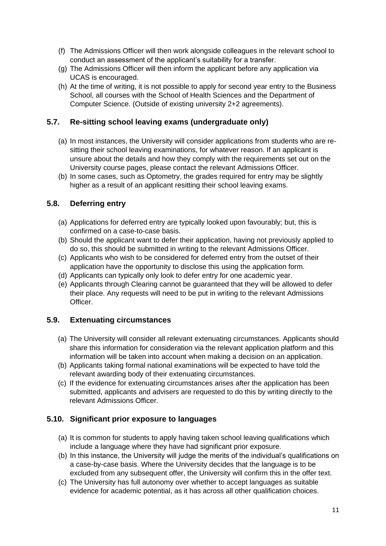- (f) The Admissions Officer will then work alongside colleagues in the relevant school to conduct an assessment of the applicant's suitability for a transfer.
- (g) The Admissions Officer will then inform the applicant before any application via UCAS is encouraged.
- (h) At the time of writing, it is not possible to apply for second year entry to the Business School, all courses with the School of Health Sciences and the Department of Computer Science. (Outside of existing university 2+2 agreements).

## **5.7. Re-sitting school leaving exams (undergraduate only)**

- (a) In most instances, the University will consider applications from students who are resitting their school leaving examinations, for whatever reason. If an applicant is unsure about the details and how they comply with the requirements set out on the University course pages, please contact the relevant Admissions Officer.
- (b) In some cases, such as Optometry, the grades required for entry may be slightly higher as a result of an applicant resitting their school leaving exams.

#### **5.8. Deferring entry**

- (a) Applications for deferred entry are typically looked upon favourably; but, this is confirmed on a case-to-case basis.
- (b) Should the applicant want to defer their application, having not previously applied to do so, this should be submitted in writing to the relevant Admissions Officer.
- (c) Applicants who wish to be considered for deferred entry from the outset of their application have the opportunity to disclose this using the application form.
- (d) Applicants can typically only look to defer entry for one academic year.
- (e) Applicants through Clearing cannot be guaranteed that they will be allowed to defer their place. Any requests will need to be put in writing to the relevant Admissions Officer.

#### **5.9. Extenuating circumstances**

- (a) The University will consider all relevant extenuating circumstances. Applicants should share this information for consideration via the relevant application platform and this information will be taken into account when making a decision on an application.
- (b) Applicants taking formal national examinations will be expected to have told the relevant awarding body of their extenuating circumstances.
- (c) If the evidence for extenuating circumstances arises after the application has been submitted, applicants and advisers are requested to do this by writing directly to the relevant Admissions Officer.

#### **5.10. Significant prior exposure to languages**

- (a) It is common for students to apply having taken school leaving qualifications which include a language where they have had significant prior exposure.
- (b) In this instance, the University will judge the merits of the individual's qualifications on a case-by-case basis. Where the University decides that the language is to be excluded from any subsequent offer, the University will confirm this in the offer text.
- (c) The University has full autonomy over whether to accept languages as suitable evidence for academic potential, as it has across all other qualification choices.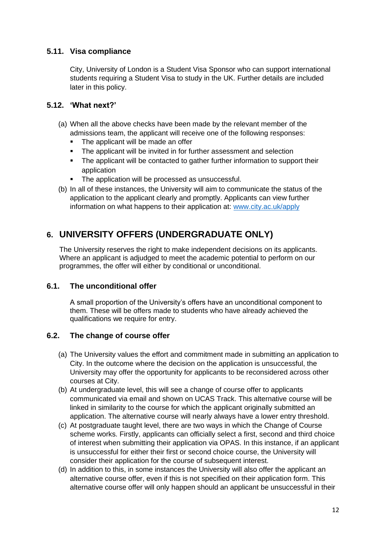# **5.11. Visa compliance**

City, University of London is a Student Visa Sponsor who can support international students requiring a Student Visa to study in the UK. Further details are included later in this policy.

#### **5.12. 'What next?'**

- (a) When all the above checks have been made by the relevant member of the admissions team, the applicant will receive one of the following responses:
	- The applicant will be made an offer
	- The applicant will be invited in for further assessment and selection
	- The applicant will be contacted to gather further information to support their application
	- The application will be processed as unsuccessful.
- (b) In all of these instances, the University will aim to communicate the status of the application to the applicant clearly and promptly. Applicants can view further information on what happens to their application at: [www.city.ac.uk/apply](http://www.city.ac.uk/apply)

# **6. UNIVERSITY OFFERS (UNDERGRADUATE ONLY)**

The University reserves the right to make independent decisions on its applicants. Where an applicant is adjudged to meet the academic potential to perform on our programmes, the offer will either by conditional or unconditional.

#### **6.1. The unconditional offer**

A small proportion of the University's offers have an unconditional component to them. These will be offers made to students who have already achieved the qualifications we require for entry.

#### **6.2. The change of course offer**

- (a) The University values the effort and commitment made in submitting an application to City. In the outcome where the decision on the application is unsuccessful, the University may offer the opportunity for applicants to be reconsidered across other courses at City.
- (b) At undergraduate level, this will see a change of course offer to applicants communicated via email and shown on UCAS Track. This alternative course will be linked in similarity to the course for which the applicant originally submitted an application. The alternative course will nearly always have a lower entry threshold.
- (c) At postgraduate taught level, there are two ways in which the Change of Course scheme works. Firstly, applicants can officially select a first, second and third choice of interest when submitting their application via OPAS. In this instance, if an applicant is unsuccessful for either their first or second choice course, the University will consider their application for the course of subsequent interest.
- (d) In addition to this, in some instances the University will also offer the applicant an alternative course offer, even if this is not specified on their application form. This alternative course offer will only happen should an applicant be unsuccessful in their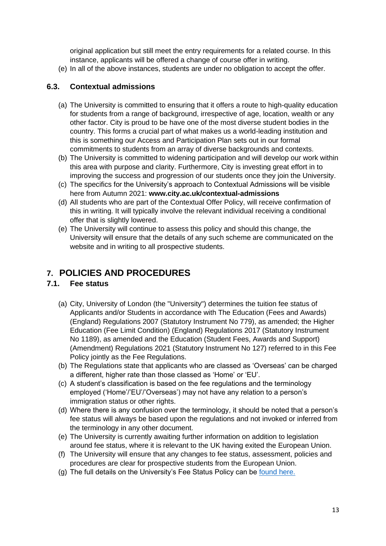original application but still meet the entry requirements for a related course. In this instance, applicants will be offered a change of course offer in writing.

(e) In all of the above instances, students are under no obligation to accept the offer.

#### **6.3. Contextual admissions**

- (a) The University is committed to ensuring that it offers a route to high-quality education for students from a range of background, irrespective of age, location, wealth or any other factor. City is proud to be have one of the most diverse student bodies in the country. This forms a crucial part of what makes us a world-leading institution and this is something our Access and Participation Plan sets out in our formal commitments to students from an array of diverse backgrounds and contexts.
- (b) The University is committed to widening participation and will develop our work within this area with purpose and clarity. Furthermore, City is investing great effort in to improving the success and progression of our students once they join the University.
- (c) The specifics for the University's approach to Contextual Admissions will be visible here from Autumn 2021: **[www.city.ac.uk/contextual-admissions](http://www.city.ac.uk/contextual-admissions)**
- (d) All students who are part of the Contextual Offer Policy, will receive confirmation of this in writing. It will typically involve the relevant individual receiving a conditional offer that is slightly lowered.
- (e) The University will continue to assess this policy and should this change, the University will ensure that the details of any such scheme are communicated on the website and in writing to all prospective students.

# **7. POLICIES AND PROCEDURES**

# **7.1. Fee status**

- (a) City, University of London (the "University") determines the tuition fee status of Applicants and/or Students in accordance with The Education (Fees and Awards) (England) Regulations 2007 (Statutory Instrument No 779), as amended; the Higher Education (Fee Limit Condition) (England) Regulations 2017 (Statutory Instrument No 1189), as amended and the Education (Student Fees, Awards and Support) (Amendment) Regulations 2021 (Statutory Instrument No 127) referred to in this Fee Policy jointly as the Fee Regulations.
- (b) The Regulations state that applicants who are classed as 'Overseas' can be charged a different, higher rate than those classed as 'Home' or 'EU'.
- (c) A student's classification is based on the fee regulations and the terminology employed ('Home'/'EU'/'Overseas') may not have any relation to a person's immigration status or other rights.
- (d) Where there is any confusion over the terminology, it should be noted that a person's fee status will always be based upon the regulations and not invoked or inferred from the terminology in any other document.
- (e) The University is currently awaiting further information on addition to legislation around fee status, where it is relevant to the UK having exited the European Union.
- (f) The University will ensure that any changes to fee status, assessment, policies and procedures are clear for prospective students from the European Union.
- (g) The full details on the University's Fee Status Policy can be [found here.](https://www.city.ac.uk/__data/assets/pdf_file/0005/567122/Fee-Assessment-Policy-2020.pdf)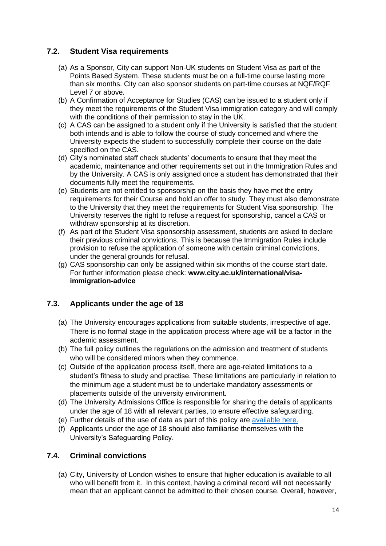#### **7.2. Student Visa requirements**

- (a) As a Sponsor, City can support Non-UK students on Student Visa as part of the Points Based System. These students must be on a full-time course lasting more than six months. City can also sponsor students on part-time courses at NQF/RQF Level 7 or above.
- (b) A Confirmation of Acceptance for Studies (CAS) can be issued to a student only if they meet the requirements of the Student Visa immigration category and will comply with the conditions of their permission to stay in the UK.
- (c) A CAS can be assigned to a student only if the University is satisfied that the student both intends and is able to follow the course of study concerned and where the University expects the student to successfully complete their course on the date specified on the CAS.
- (d) City's nominated staff check students' documents to ensure that they meet the academic, maintenance and other requirements set out in the Immigration Rules and by the University. A CAS is only assigned once a student has demonstrated that their documents fully meet the requirements.
- (e) Students are not entitled to sponsorship on the basis they have met the entry requirements for their Course and hold an offer to study. They must also demonstrate to the University that they meet the requirements for Student Visa sponsorship. The University reserves the right to refuse a request for sponsorship, cancel a CAS or withdraw sponsorship at its discretion.
- (f) As part of the Student Visa sponsorship assessment, students are asked to declare their previous criminal convictions. This is because the Immigration Rules include provision to refuse the application of someone with certain criminal convictions, under the general grounds for refusal.
- (g) CAS sponsorship can only be assigned within six months of the course start date. For further information please check: **www.city.ac.uk/international/visaimmigration-advice**

# **7.3. Applicants under the age of 18**

- (a) The University encourages applications from suitable students, irrespective of age. There is no formal stage in the application process where age will be a factor in the acdemic assessment.
- (b) The full policy outlines the regulations on the admission and treatment of students who will be considered minors when they commence.
- (c) Outside of the application process itself, there are age-related limitations to a student's fitness to study and practise. These limitations are particularly in relation to the minimum age a student must be to undertake mandatory assessments or placements outside of the university environment.
- (d) The University Admissions Office is responsible for sharing the details of applicants under the age of 18 with all relevant parties, to ensure effective safeguarding.
- (e) Further details of the use of data as part of this policy are [available here.](https://www.city.ac.uk/about/education/academic-services/admissions/)
- (f) Applicants under the age of 18 should also familiarise themselves with the University's Safeguarding Policy.

#### **7.4. Criminal convictions**

(a) City, University of London wishes to ensure that higher education is available to all who will benefit from it. In this context, having a criminal record will not necessarily mean that an applicant cannot be admitted to their chosen course. Overall, however,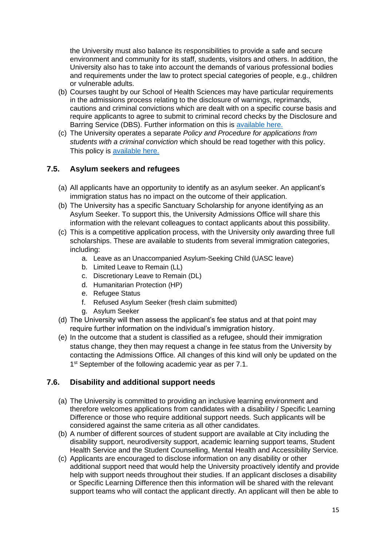the University must also balance its responsibilities to provide a safe and secure environment and community for its staff, students, visitors and others. In addition, the University also has to take into account the demands of various professional bodies and requirements under the law to protect special categories of people, e.g., children or vulnerable adults.

- (b) Courses taught by our School of Health Sciences may have particular requirements in the admissions process relating to the disclosure of warnings, reprimands, cautions and criminal convictions which are dealt with on a specific course basis and require applicants to agree to submit to criminal record checks by the Disclosure and Barring Service (DBS). Further information on this is [available here.](https://www.city.ac.uk/about/schools/health-sciences/about/courses/dbs)
- (c) The University operates a separate *Policy and Procedure for applications from students with a criminal conviction* which should be read together with this policy. This policy is [available here.](https://www.city.ac.uk/about/governance/legal/admissions)

#### **7.5. Asylum seekers and refugees**

- (a) All applicants have an opportunity to identify as an asylum seeker. An applicant's immigration status has no impact on the outcome of their application.
- (b) The University has a specific Sanctuary Scholarship for anyone identifying as an Asylum Seeker. To support this, the University Admissions Office will share this information with the relevant colleagues to contact applicants about this possibility.
- (c) This is a competitive application process, with the University only awarding three full scholarships. These are available to students from several immigration categories, including:
	- a. Leave as an Unaccompanied Asylum-Seeking Child (UASC leave)
	- b. Limited Leave to Remain (LL)
	- c. Discretionary Leave to Remain (DL)
	- d. Humanitarian Protection (HP)
	- e. Refugee Status
	- f. Refused Asylum Seeker (fresh claim submitted)
	- g. Asylum Seeker
- (d) The University will then assess the applicant's fee status and at that point may require further information on the individual's immigration history.
- (e) In the outcome that a student is classified as a refugee, should their immigration status change, they then may request a change in fee status from the University by contacting the Admissions Office. All changes of this kind will only be updated on the 1<sup>st</sup> September of the following academic year as per 7.1.

#### **7.6. Disability and additional support needs**

- (a) The University is committed to providing an inclusive learning environment and therefore welcomes applications from candidates with a disability / Specific Learning Difference or those who require additional support needs. Such applicants will be considered against the same criteria as all other candidates.
- (b) A number of different sources of student support are available at City including the disability support, neurodiversity support, academic learning support teams, Student Health Service and the Student Counselling, Mental Health and Accessibility Service.
- (c) Applicants are encouraged to disclose information on any disability or other additional support need that would help the University proactively identify and provide help with support needs throughout their studies. If an applicant discloses a disability or Specific Learning Difference then this information will be shared with the relevant support teams who will contact the applicant directly. An applicant will then be able to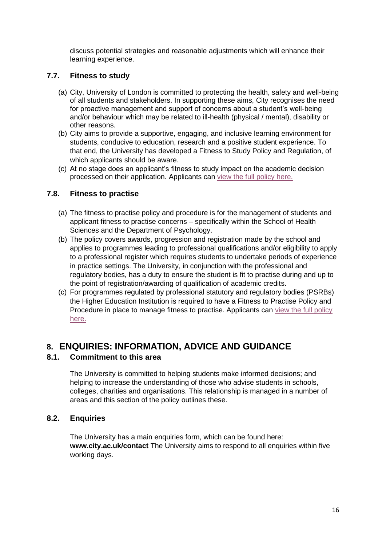discuss potential strategies and reasonable adjustments which will enhance their learning experience.

#### **7.7. Fitness to study**

- (a) City, University of London is committed to protecting the health, safety and well-being of all students and stakeholders. In supporting these aims, City recognises the need for proactive management and support of concerns about a student's well-being and/or behaviour which may be related to ill-health (physical / mental), disability or other reasons.
- (b) City aims to provide a supportive, engaging, and inclusive learning environment for students, conducive to education, research and a positive student experience. To that end, the University has developed a Fitness to Study Policy and Regulation, of which applicants should be aware.
- (c) At no stage does an applicant's fitness to study impact on the academic decision processed on their application. Applicants can [view the full policy here.](https://www.city.ac.uk/__data/assets/pdf_file/0004/386806/Fitness-to-Study-Policy.pdf)

#### **7.8. Fitness to practise**

- (a) The fitness to practise policy and procedure is for the management of students and applicant fitness to practise concerns – specifically within the School of Health Sciences and the Department of Psychology.
- (b) The policy covers awards, progression and registration made by the school and applies to programmes leading to professional qualifications and/or eligibility to apply to a professional register which requires students to undertake periods of experience in practice settings. The University, in conjunction with the professional and regulatory bodies, has a duty to ensure the student is fit to practise during and up to the point of registration/awarding of qualification of academic credits.
- (c) For programmes regulated by professional statutory and regulatory bodies (PSRBs) the Higher Education Institution is required to have a Fitness to Practise Policy and Procedure in place to manage fitness to practise. Applicants can [view the full policy](https://www.city.ac.uk/__data/assets/pdf_file/0006/386511/Fitness-to-Practise-Policy-and-Procedure-17-18.pdf)  [here.](https://www.city.ac.uk/__data/assets/pdf_file/0006/386511/Fitness-to-Practise-Policy-and-Procedure-17-18.pdf)

# **8. ENQUIRIES: INFORMATION, ADVICE AND GUIDANCE**

#### **8.1. Commitment to this area**

The University is committed to helping students make informed decisions; and helping to increase the understanding of those who advise students in schools, colleges, charities and organisations. This relationship is managed in a number of areas and this section of the policy outlines these.

#### **8.2. Enquiries**

The University has a main enquiries form, which can be found here: **[www.city.ac.uk/contact](http://www.city.ac.uk/contact)** The University aims to respond to all enquiries within five working days.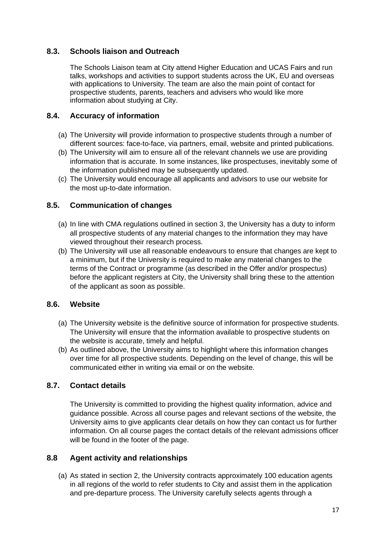#### **8.3. Schools liaison and Outreach**

The Schools Liaison team at City attend Higher Education and UCAS Fairs and run talks, workshops and activities to support students across the UK, EU and overseas with applications to University. The team are also the main point of contact for prospective students, parents, teachers and advisers who would like more information about studying at City.

#### **8.4. Accuracy of information**

- (a) The University will provide information to prospective students through a number of different sources: face-to-face, via partners, email, website and printed publications.
- (b) The University will aim to ensure all of the relevant channels we use are providing information that is accurate. In some instances, like prospectuses, inevitably some of the information published may be subsequently updated.
- (c) The University would encourage all applicants and advisors to use our website for the most up-to-date information.

#### **8.5. Communication of changes**

- (a) In line with CMA regulations outlined in section 3, the University has a duty to inform all prospective students of any material changes to the information they may have viewed throughout their research process.
- (b) The University will use all reasonable endeavours to ensure that changes are kept to a minimum, but if the University is required to make any material changes to the terms of the Contract or programme (as described in the Offer and/or prospectus) before the applicant registers at City, the University shall bring these to the attention of the applicant as soon as possible.

#### **8.6. Website**

- (a) The University website is the definitive source of information for prospective students. The University will ensure that the information available to prospective students on the website is accurate, timely and helpful.
- (b) As outlined above, the University aims to highlight where this information changes over time for all prospective students. Depending on the level of change, this will be communicated either in writing via email or on the website.

# **8.7. Contact details**

The University is committed to providing the highest quality information, advice and guidance possible. Across all course pages and relevant sections of the website, the University aims to give applicants clear details on how they can contact us for further information. On all course pages the contact details of the relevant admissions officer will be found in the footer of the page.

#### **8.8 Agent activity and relationships**

(a) As stated in section 2, the University contracts approximately 100 education agents in all regions of the world to refer students to City and assist them in the application and pre-departure process. The University carefully selects agents through a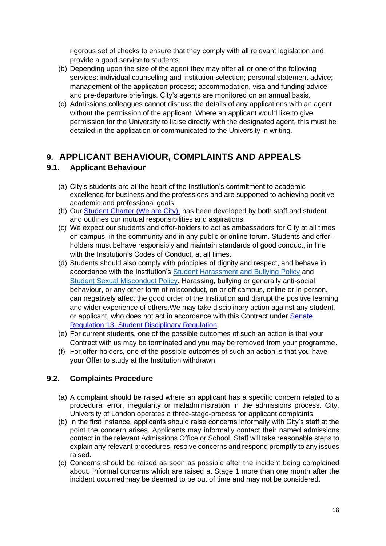rigorous set of checks to ensure that they comply with all relevant legislation and provide a good service to students.

- (b) Depending upon the size of the agent they may offer all or one of the following services: individual counselling and institution selection; personal statement advice; management of the application process; accommodation, visa and funding advice and pre-departure briefings. City's agents are monitored on an annual basis.
- (c) Admissions colleagues cannot discuss the details of any applications with an agent without the permission of the applicant. Where an applicant would like to give permission for the University to liaise directly with the designated agent, this must be detailed in the application or communicated to the University in writing.

# **9. APPLICANT BEHAVIOUR, COMPLAINTS AND APPEALS**

# **9.1. Applicant Behaviour**

- (a) City's students are at the heart of the Institution's commitment to academic excellence for business and the professions and are supported to achieving positive academic and professional goals.
- (b) Our [Student Charter \(We are City\),](https://studenthub.city.ac.uk/student-administration/student-charter) has been developed by both staff and student and outlines our mutual responsibilities and aspirations.
- (c) We expect our students and offer-holders to act as ambassadors for City at all times on campus, in the community and in any public or online forum. Students and offerholders must behave responsibly and maintain standards of good conduct, in line with the Institution's Codes of Conduct, at all times.
- (d) Students should also comply with principles of dignity and respect, and behave in accordance with the Institution's [Student Harassment and Bullying Policy](https://www.city.ac.uk/__data/assets/pdf_file/0018/232911/Student-Harassment-and-Bullying-Policy.pdf) and [Student Sexual Misconduct Policy.](https://www.city.ac.uk/__data/assets/pdf_file/0018/530811/Student-Sexual-Misconduct-Policy.pdf) Harassing, bullying or generally anti-social behaviour, or any other form of misconduct, on or off campus, online or in-person, can negatively affect the good order of the Institution and disrupt the positive learning and wider experience of others.We may take disciplinary action against any student, or applicant, who does not act in accordance with this Contract under [Senate](https://www.city.ac.uk/__data/assets/pdf_file/0004/566662/Senate_Regulation_13_Student_Discipline_Senate_20201007.pdf)  [Regulation 13: Student Disciplinary Regulation.](https://www.city.ac.uk/__data/assets/pdf_file/0004/566662/Senate_Regulation_13_Student_Discipline_Senate_20201007.pdf)
- (e) For current students, one of the possible outcomes of such an action is that your Contract with us may be terminated and you may be removed from your programme.
- (f) For offer-holders, one of the possible outcomes of such an action is that you have your Offer to study at the Institution withdrawn.

# **9.2. Complaints Procedure**

- (a) A complaint should be raised where an applicant has a specific concern related to a procedural error, irregularity or maladministration in the admissions process. City, University of London operates a three-stage-process for applicant complaints.
- (b) In the first instance, applicants should raise concerns informally with City's staff at the point the concern arises. Applicants may informally contact their named admissions contact in the relevant Admissions Office or School. Staff will take reasonable steps to explain any relevant procedures, resolve concerns and respond promptly to any issues raised.
- (c) Concerns should be raised as soon as possible after the incident being complained about. Informal concerns which are raised at Stage 1 more than one month after the incident occurred may be deemed to be out of time and may not be considered.